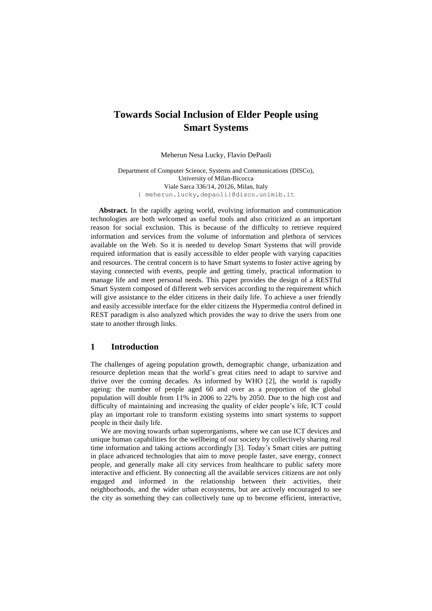# **Towards Social Inclusion of Elder People using Smart Systems**

Meherun Nesa Lucky, Flavio DePaoli

Department of Computer Science, Systems and Communications (DISCo), University of Milan-Bicocca Viale Sarca 336/14, 20126, Milan, Italy { meherun.lucky,depaoli}@disco.unimib.it

**Abstract.** In the rapidly ageing world, evolving information and communication technologies are both welcomed as useful tools and also criticized as an important reason for social exclusion. This is because of the difficulty to retrieve required information and services from the volume of information and plethora of services available on the Web. So it is needed to develop Smart Systems that will provide required information that is easily accessible to elder people with varying capacities and resources. The central concern is to have Smart systems to foster active ageing by staying connected with events, people and getting timely, practical information to manage life and meet personal needs. This paper provides the design of a RESTful Smart System composed of different web services according to the requirement which will give assistance to the elder citizens in their daily life. To achieve a user friendly and easily accessible interface for the elder citizens the Hypermedia control defined in REST paradigm is also analyzed which provides the way to drive the users from one state to another through links.

### **1 Introduction**

The challenges of ageing population growth, demographic change, urbanization and resource depletion mean that the world's great cities need to adapt to survive and thrive over the coming decades. As informed by WHO [\[2\]](#page-11-0), the world is rapidly ageing: the number of people aged 60 and over as a proportion of the global population will double from 11% in 2006 to 22% by 2050. Due to the high cost and difficulty of maintaining and increasing the quality of elder people's life, ICT could play an important role to transform existing systems into smart systems to support people in their daily life.

We are moving towards urban superorganisms, where we can use ICT devices and unique human capabilities for the wellbeing of our society by collectively sharing real time information and taking actions accordingly [\[3\]](#page-11-1). Today's Smart cities are putting in place advanced technologies that aim to move people faster, save energy, connect people, and generally make all city services from healthcare to public safety more interactive and efficient. By connecting all the available services citizens are not only engaged and informed in the relationship between their activities, their neighborhoods, and the wider urban ecosystems, but are actively encouraged to see the city as something they can collectively tune up to become efficient, interactive,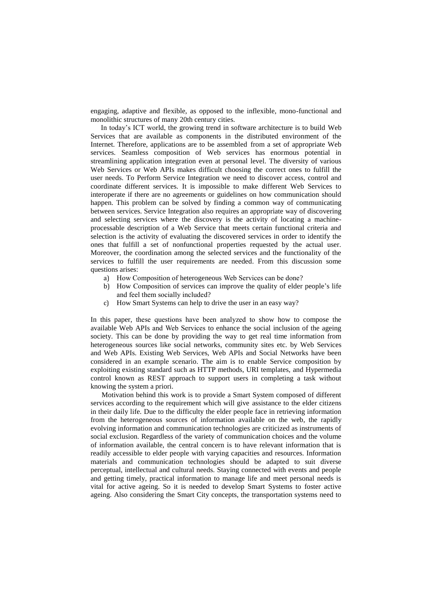engaging, adaptive and flexible, as opposed to the inflexible, mono-functional and monolithic structures of many 20th century cities.

In today's ICT world, the growing trend in software architecture is to build Web Services that are available as components in the distributed environment of the Internet. Therefore, applications are to be assembled from a set of appropriate Web services. Seamless composition of Web services has enormous potential in streamlining application integration even at personal level. The diversity of various Web Services or Web APIs makes difficult choosing the correct ones to fulfill the user needs. To Perform Service Integration we need to discover access, control and coordinate different services. It is impossible to make different Web Services to interoperate if there are no agreements or guidelines on how communication should happen. This problem can be solved by finding a common way of communicating between services. Service Integration also requires an appropriate way of discovering and selecting services where the discovery is the activity of locating a machineprocessable description of a Web Service that meets certain functional criteria and selection is the activity of evaluating the discovered services in order to identify the ones that fulfill a set of nonfunctional properties requested by the actual user. Moreover, the coordination among the selected services and the functionality of the services to fulfill the user requirements are needed. From this discussion some questions arises:

- a) How Composition of heterogeneous Web Services can be done?
- b) How Composition of services can improve the quality of elder people's life and feel them socially included?
- c) How Smart Systems can help to drive the user in an easy way?

In this paper, these questions have been analyzed to show how to compose the available Web APIs and Web Services to enhance the social inclusion of the ageing society. This can be done by providing the way to get real time information from heterogeneous sources like social networks, community sites etc. by Web Services and Web APIs. Existing Web Services, Web APIs and Social Networks have been considered in an example scenario. The aim is to enable Service composition by exploiting existing standard such as HTTP methods, URI templates, and Hypermedia control known as REST approach to support users in completing a task without knowing the system a priori.

 Motivation behind this work is to provide a Smart System composed of different services according to the requirement which will give assistance to the elder citizens in their daily life. Due to the difficulty the elder people face in retrieving information from the heterogeneous sources of information available on the web, the rapidly evolving information and communication technologies are criticized as instruments of social exclusion. Regardless of the variety of communication choices and the volume of information available, the central concern is to have relevant information that is readily accessible to elder people with varying capacities and resources. Information materials and communication technologies should be adapted to suit diverse perceptual, intellectual and cultural needs. Staying connected with events and people and getting timely, practical information to manage life and meet personal needs is vital for active ageing. So it is needed to develop Smart Systems to foster active ageing. Also considering the Smart City concepts, the transportation systems need to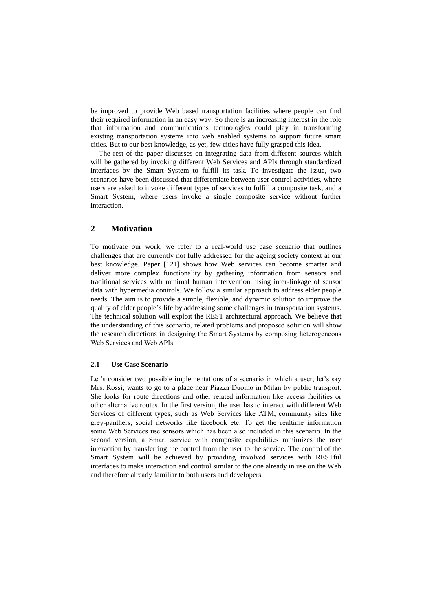be improved to provide Web based transportation facilities where people can find their required information in an easy way. So there is an increasing interest in the role that information and communications technologies could play in transforming existing transportation systems into web enabled systems to support future smart cities. But to our best knowledge, as yet, few cities have fully grasped this idea.

The rest of the paper discusses on integrating data from different sources which will be gathered by invoking different Web Services and APIs through standardized interfaces by the Smart System to fulfill its task. To investigate the issue, two scenarios have been discussed that differentiate between user control activities, where users are asked to invoke different types of services to fulfill a composite task, and a Smart System, where users invoke a single composite service without further interaction.

### **2 Motivation**

To motivate our work, we refer to a real-world use case scenario that outlines challenges that are currently not fully addressed for the ageing society context at our best knowledge. Paper [\[121](#page-11-2)] shows how Web services can become smarter and deliver more complex functionality by gathering information from sensors and traditional services with minimal human intervention, using inter-linkage of sensor data with hypermedia controls. We follow a similar approach to address elder people needs. The aim is to provide a simple, flexible, and dynamic solution to improve the quality of elder people's life by addressing some challenges in transportation systems. The technical solution will exploit the REST architectural approach. We believe that the understanding of this scenario, related problems and proposed solution will show the research directions in designing the Smart Systems by composing heterogeneous Web Services and Web APIs.

#### **2.1 Use Case Scenario**

Let's consider two possible implementations of a scenario in which a user, let's say Mrs. Rossi, wants to go to a place near Piazza Duomo in Milan by public transport. She looks for route directions and other related information like access facilities or other alternative routes. In the first version, the user has to interact with different Web Services of different types, such as Web Services like ATM, community sites like grey-panthers, social networks like facebook etc. To get the realtime information some Web Services use sensors which has been also included in this scenario. In the second version, a Smart service with composite capabilities minimizes the user interaction by transferring the control from the user to the service. The control of the Smart System will be achieved by providing involved services with RESTful interfaces to make interaction and control similar to the one already in use on the Web and therefore already familiar to both users and developers.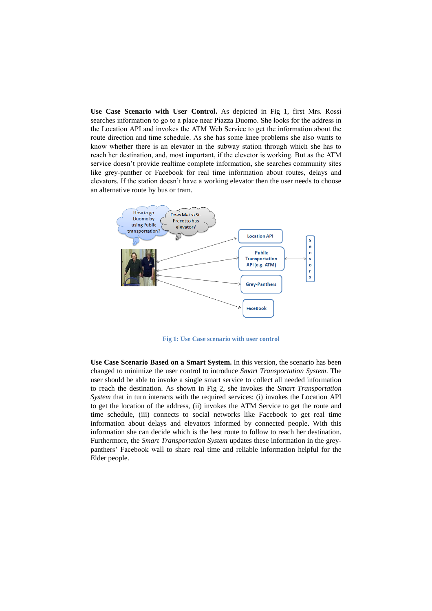**Use Case Scenario with User Control.** As depicted in [Fig 1,](#page-3-0) first Mrs. Rossi searches information to go to a place near Piazza Duomo. She looks for the address in the Location API and invokes the ATM Web Service to get the information about the route direction and time schedule. As she has some knee problems she also wants to know whether there is an elevator in the subway station through which she has to reach her destination, and, most important, if the elevetor is working. But as the ATM service doesn't provide realtime complete information, she searches community sites like grey-panther or Facebook for real time information about routes, delays and elevators. If the station doesn't have a working elevator then the user needs to choose an alternative route by bus or tram.

<span id="page-3-0"></span>

**Fig 1: Use Case scenario with user control**

**Use Case Scenario Based on a Smart System.** In this version, the scenario has been changed to minimize the user control to introduce *Smart Transportation System*. The user should be able to invoke a single smart service to collect all needed information to reach the destination. As shown in [Fig](#page-4-0) 2, she invokes the *Smart Transportation System* that in turn interacts with the required services: (i) invokes the Location API to get the location of the address, (ii) invokes the ATM Service to get the route and time schedule, (iii) connects to social networks like Facebook to get real time information about delays and elevators informed by connected people. With this information she can decide which is the best route to follow to reach her destination. Furthermore, the *Smart Transportation System* updates these information in the greypanthers' Facebook wall to share real time and reliable information helpful for the Elder people.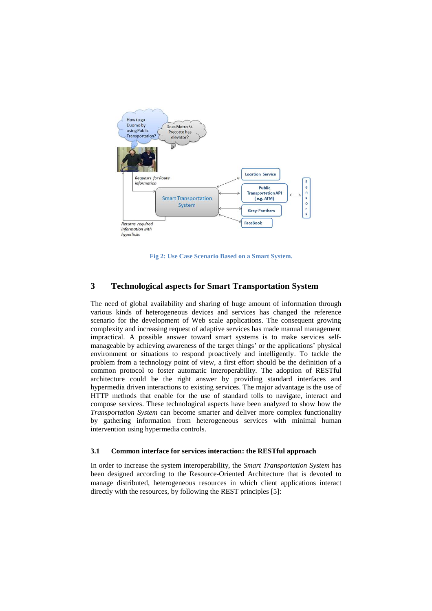<span id="page-4-0"></span>

**Fig 2: Use Case Scenario Based on a Smart System.**

### **3 Technological aspects for Smart Transportation System**

The need of global availability and sharing of huge amount of information through various kinds of heterogeneous devices and services has changed the reference scenario for the development of Web scale applications. The consequent growing complexity and increasing request of adaptive services has made manual management impractical. A possible answer toward smart systems is to make services selfmanageable by achieving awareness of the target things' or the applications' physical environment or situations to respond proactively and intelligently. To tackle the problem from a technology point of view, a first effort should be the definition of a common protocol to foster automatic interoperability. The adoption of RESTful architecture could be the right answer by providing standard interfaces and hypermedia driven interactions to existing services. The major advantage is the use of HTTP methods that enable for the use of standard tolls to navigate, interact and compose services. These technological aspects have been analyzed to show how the *Transportation System* can become smarter and deliver more complex functionality by gathering information from heterogeneous services with minimal human intervention using hypermedia controls.

### **3.1 Common interface for services interaction: the RESTful approach**

In order to increase the system interoperability, the *Smart Transportation System* has been designed according to the Resource-Oriented Architecture that is devoted to manage distributed, heterogeneous resources in which client applications interact directly with the resources, by following the REST principles [\[5\]](#page-11-3):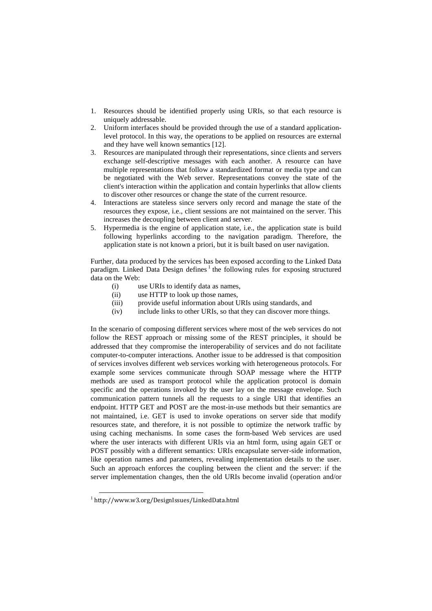- 1. Resources should be identified properly using URIs, so that each resource is uniquely addressable.
- 2. Uniform interfaces should be provided through the use of a standard applicationlevel protocol. In this way, the operations to be applied on resources are external and they have well known semantics [\[12\]](#page-11-4).
- 3. Resources are manipulated through their representations, since clients and servers exchange self-descriptive messages with each another. A resource can have multiple representations that follow a standardized format or media type and can be negotiated with the Web server. Representations convey the state of the client's interaction within the application and contain hyperlinks that allow clients to discover other resources or change the state of the current resource.
- 4. Interactions are stateless since servers only record and manage the state of the resources they expose, i.e., client sessions are not maintained on the server. This increases the decoupling between client and server.
- 5. Hypermedia is the engine of application state, i.e., the application state is build following hyperlinks according to the navigation paradigm. Therefore, the application state is not known a priori, but it is built based on user navigation.

Further, data produced by the services has been exposed according to the Linked Data paradigm. Linked Data Design defines<sup>1</sup> the following rules for exposing structured data on the Web:

- (i) use URIs to identify data as names,
- (ii) use HTTP to look up those names,
- (iii) provide useful information about URIs using standards, and
- (iv) include links to other URIs, so that they can discover more things.

In the scenario of composing different services where most of the web services do not follow the REST approach or missing some of the REST principles, it should be addressed that they compromise the interoperability of services and do not facilitate computer-to-computer interactions. Another issue to be addressed is that composition of services involves different web services working with heterogeneous protocols. For example some services communicate through SOAP message where the HTTP methods are used as transport protocol while the application protocol is domain specific and the operations invoked by the user lay on the message envelope. Such communication pattern tunnels all the requests to a single URI that identifies an endpoint. HTTP GET and POST are the most-in-use methods but their semantics are not maintained, i.e. GET is used to invoke operations on server side that modify resources state, and therefore, it is not possible to optimize the network traffic by using caching mechanisms. In some cases the form-based Web services are used where the user interacts with different URIs via an html form, using again GET or POST possibly with a different semantics: URIs encapsulate server-side information, like operation names and parameters, revealing implementation details to the user. Such an approach enforces the coupling between the client and the server: if the server implementation changes, then the old URIs become invalid (operation and/or

 $\overline{a}$ 

<sup>1</sup> http://www.w3.org/DesignIssues/LinkedData.html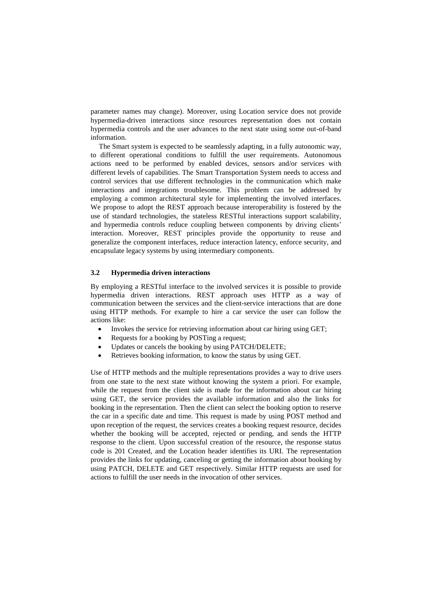parameter names may change). Moreover, using Location service does not provide hypermedia-driven interactions since resources representation does not contain hypermedia controls and the user advances to the next state using some out-of-band information.

The Smart system is expected to be seamlessly adapting, in a fully autonomic way, to different operational conditions to fulfill the user requirements. Autonomous actions need to be performed by enabled devices, sensors and/or services with different levels of capabilities. The Smart Transportation System needs to access and control services that use different technologies in the communication which make interactions and integrations troublesome. This problem can be addressed by employing a common architectural style for implementing the involved interfaces. We propose to adopt the REST approach because interoperability is fostered by the use of standard technologies, the stateless RESTful interactions support scalability, and hypermedia controls reduce coupling between components by driving clients' interaction. Moreover, REST principles provide the opportunity to reuse and generalize the component interfaces, reduce interaction latency, enforce security, and encapsulate legacy systems by using intermediary components.

### **3.2 Hypermedia driven interactions**

By employing a RESTful interface to the involved services it is possible to provide hypermedia driven interactions. REST approach uses HTTP as a way of communication between the services and the client-service interactions that are done using HTTP methods. For example to hire a car service the user can follow the actions like:

- Invokes the service for retrieving information about car hiring using GET;
- Requests for a booking by POSTing a request;
- Updates or cancels the booking by using PATCH/DELETE;
- Retrieves booking information, to know the status by using GET.

Use of HTTP methods and the multiple representations provides a way to drive users from one state to the next state without knowing the system a priori. For example, while the request from the client side is made for the information about car hiring using GET, the service provides the available information and also the links for booking in the representation. Then the client can select the booking option to reserve the car in a specific date and time. This request is made by using POST method and upon reception of the request, the services creates a booking request resource, decides whether the booking will be accepted, rejected or pending, and sends the HTTP response to the client. Upon successful creation of the resource, the response status code is 201 Created, and the Location header identifies its URI. The representation provides the links for updating, canceling or getting the information about booking by using PATCH, DELETE and GET respectively. Similar HTTP requests are used for actions to fulfill the user needs in the invocation of other services.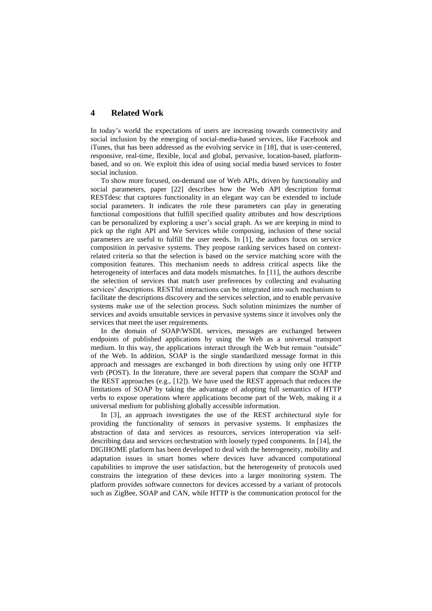## **4 Related Work**

In today's world the expectations of users are increasing towards connectivity and social inclusion by the emerging of social-media-based services, like Facebook and iTunes, that has been addressed as the evolving service in [\[18\]](#page-11-5), that is user-centered, responsive, real-time, flexible, local and global, pervasive, location-based, platformbased, and so on. We exploit this idea of using social media based services to foster social inclusion.

To show more focused, on-demand use of Web APIs, driven by functionality and social parameters, paper [\[22\]](#page-11-6) describes how the Web API description format RESTdesc that captures functionality in an elegant way can be extended to include social parameters. It indicates the role these parameters can play in generating functional compositions that fulfill specified quality attributes and how descriptions can be personalized by exploring a user's social graph. As we are keeping in mind to pick up the right API and We Services while composing, inclusion of these social parameters are useful to fulfill the user needs. In [\[1\]](#page-11-7), the authors focus on service composition in pervasive systems. They propose ranking services based on contextrelated criteria so that the selection is based on the service matching score with the composition features. This mechanism needs to address critical aspects like the heterogeneity of interfaces and data models mismatches. In [\[11\]](#page-11-8), the authors describe the selection of services that match user preferences by collecting and evaluating services' descriptions. RESTful interactions can be integrated into such mechanism to facilitate the descriptions discovery and the services selection, and to enable pervasive systems make use of the selection process. Such solution minimizes the number of services and avoids unsuitable services in pervasive systems since it involves only the services that meet the user requirements.

In the domain of SOAP/WSDL services, messages are exchanged between endpoints of published applications by using the Web as a universal transport medium. In this way, the applications interact through the Web but remain "outside" of the Web. In addition, SOAP is the single standardized message format in this approach and messages are exchanged in both directions by using only one HTTP verb (POST). In the literature, there are several papers that compare the SOAP and the REST approaches (e.g., [\[12\]](#page-11-4)). We have used the REST approach that reduces the limitations of SOAP by taking the advantage of adopting full semantics of HTTP verbs to expose operations where applications become part of the Web, making it a universal medium for publishing globally accessible information.

In [\[3\]](#page-11-1), an approach investigates the use of the REST architectural style for providing the functionality of sensors in pervasive systems. It emphasizes the abstraction of data and services as resources, services interoperation via selfdescribing data and services orchestration with loosely typed components. In [\[14\]](#page-11-9), the DIGIHOME platform has been developed to deal with the heterogeneity, mobility and adaptation issues in smart homes where devices have advanced computational capabilities to improve the user satisfaction, but the heterogeneity of protocols used constrains the integration of these devices into a larger monitoring system. The platform provides software connectors for devices accessed by a variant of protocols such as ZigBee, SOAP and CAN, while HTTP is the communication protocol for the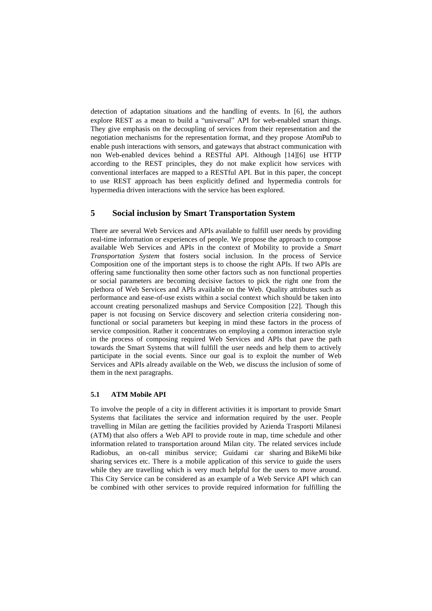detection of adaptation situations and the handling of events. In [\[6\]](#page-11-10), the authors explore REST as a mean to build a "universal" API for web-enabled smart things. They give emphasis on the decoupling of services from their representation and the negotiation mechanisms for the representation format, and they propose AtomPub to enable push interactions with sensors, and gateways that abstract communication with non Web-enabled devices behind a RESTful API. Although [\[14\]](#page-11-9)[\[6\]](#page-11-10) use HTTP according to the REST principles, they do not make explicit how services with conventional interfaces are mapped to a RESTful API. But in this paper, the concept to use REST approach has been explicitly defined and hypermedia controls for hypermedia driven interactions with the service has been explored.

# **5 Social inclusion by Smart Transportation System**

There are several Web Services and APIs available to fulfill user needs by providing real-time information or experiences of people. We propose the approach to compose available Web Services and APIs in the context of Mobility to provide a *Smart Transportation System* that fosters social inclusion. In the process of Service Composition one of the important steps is to choose the right APIs. If two APIs are offering same functionality then some other factors such as non functional properties or social parameters are becoming decisive factors to pick the right one from the plethora of Web Services and APIs available on the Web. Quality attributes such as performance and ease-of-use exists within a social context which should be taken into account creating personalized mashups and Service Composition [\[22\]](#page-11-6). Though this paper is not focusing on Service discovery and selection criteria considering nonfunctional or social parameters but keeping in mind these factors in the process of service composition. Rather it concentrates on employing a common interaction style in the process of composing required Web Services and APIs that pave the path towards the Smart Systems that will fulfill the user needs and help them to actively participate in the social events. Since our goal is to exploit the number of Web Services and APIs already available on the Web, we discuss the inclusion of some of them in the next paragraphs.

#### **5.1 ATM Mobile API**

To involve the people of a city in different activities it is important to provide Smart Systems that facilitates the service and information required by the user. People travelling in Milan are getting the facilities provided by Azienda Trasporti Milanesi (ATM) that also offers a Web API to provide route in map, time schedule and other information related to transportation around Milan city. The related services include Radiobus, an on-call minibus service; Guidami car sharing and [BikeMi](http://en.wikipedia.org/wiki/BikeMi) [bike](http://en.wikipedia.org/wiki/Bike_sharing)  [sharing](http://en.wikipedia.org/wiki/Bike_sharing) services etc. There is a mobile application of this service to guide the users while they are travelling which is very much helpful for the users to move around. This City Service can be considered as an example of a Web Service API which can be combined with other services to provide required information for fulfilling the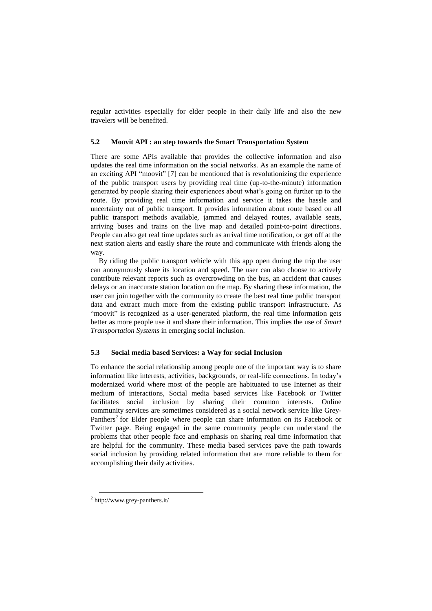regular activities especially for elder people in their daily life and also the new travelers will be benefited.

### **5.2 Moovit API : an step towards the Smart Transportation System**

There are some APIs available that provides the collective information and also updates the real time information on the social networks. As an example the name of an exciting API "moovit" [\[7\]](#page-11-11) can be mentioned that is revolutionizing the experience of the public transport users by providing real time (up-to-the-minute) information generated by people sharing their experiences about what's going on further up to the route. By providing real time information and service it takes the hassle and uncertainty out of public transport. It provides information about route based on all public transport methods available, jammed and delayed routes, available seats, arriving buses and trains on the live map and detailed point-to-point directions. People can also get real time updates such as arrival time notification, or get off at the next station alerts and easily share the route and communicate with friends along the way.

By riding the public transport vehicle with this app open during the trip the user can anonymously share its location and speed. The user can also choose to actively contribute relevant reports such as overcrowding on the bus, an accident that causes delays or an inaccurate station location on the map. By sharing these information, the user can join together with the community to create the best real time public transport data and extract much more from the existing public transport infrastructure. As "moovit" is recognized as a user-generated platform, the real time information gets better as more people use it and share their information. This implies the use of *Smart Transportation Systems* in emerging social inclusion.

#### **5.3 Social media based Services: a Way for social Inclusion**

To enhance the social relationship among people one of the important way is to share information like interests, activities, backgrounds, or real-life connections. In today's modernized world where most of the people are habituated to use Internet as their medium of interactions, Social media based services like Facebook or Twitter facilitates social inclusion by sharing their common interests. [Online](http://en.wikipedia.org/wiki/Online_community)  [community](http://en.wikipedia.org/wiki/Online_community) services are sometimes considered as a social network service like Grey-Panthers<sup>2</sup> for Elder people where people can share information on its Facebook or Twitter page. Being engaged in the same community people can understand the problems that other people face and emphasis on sharing real time information that are helpful for the community. These media based services pave the path towards social inclusion by providing related information that are more reliable to them for accomplishing their daily activities.

 $\overline{a}$ 

<sup>2</sup> <http://www.grey-panthers.it/>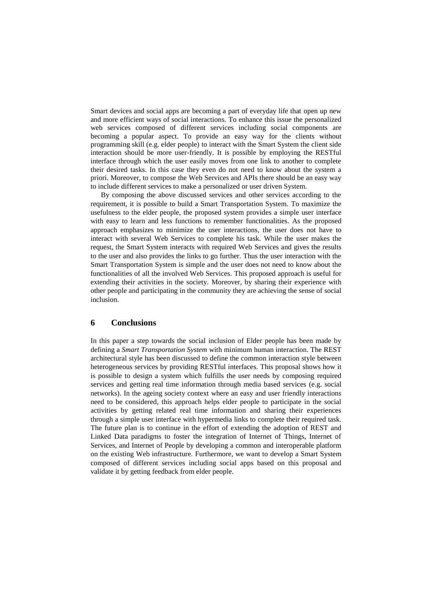Smart devices and social apps are becoming a part of everyday life that open up new and more efficient ways of social interactions. To enhance this issue the personalized web services composed of different services including social components are becoming a popular aspect. To provide an easy way for the clients without programming skill (e.g. elder people) to interact with the Smart System the client side interaction should be more user-friendly. It is possible by employing the RESTful interface through which the user easily moves from one link to another to complete their desired tasks. In this case they even do not need to know about the system a priori. Moreover, to compose the Web Services and APIs there should be an easy way to include different services to make a personalized or user driven System.

By composing the above discussed services and other services according to the requirement, it is possible to build a Smart Transportation System. To maximize the usefulness to the elder people, the proposed system provides a simple user interface with easy to learn and less functions to remember functionalities. As the proposed approach emphasizes to minimize the user interactions, the user does not have to interact with several Web Services to complete his task. While the user makes the request, the Smart System interacts with required Web Services and gives the results to the user and also provides the links to go further. Thus the user interaction with the Smart Transportation System is simple and the user does not need to know about the functionalities of all the involved Web Services. This proposed approach is useful for extending their activities in the society. Moreover, by sharing their experience with other people and participating in the community they are achieving the sense of social inclusion.

### **6 Conclusions**

In this paper a step towards the social inclusion of Elder people has been made by defining a *Smart Transportation System* with minimum human interaction. The REST architectural style has been discussed to define the common interaction style between heterogeneous services by providing RESTful interfaces. This proposal shows how it is possible to design a system which fulfills the user needs by composing required services and getting real time information through media based services (e.g. social networks). In the ageing society context where an easy and user friendly interactions need to be considered, this approach helps elder people to participate in the social activities by getting related real time information and sharing their experiences through a simple user interface with hypermedia links to complete their required task. The future plan is to continue in the effort of extending the adoption of REST and Linked Data paradigms to foster the integration of Internet of Things, Internet of Services, and Internet of People by developing a common and interoperable platform on the existing Web infrastructure. Furthermore, we want to develop a Smart System composed of different services including social apps based on this proposal and validate it by getting feedback from elder people.